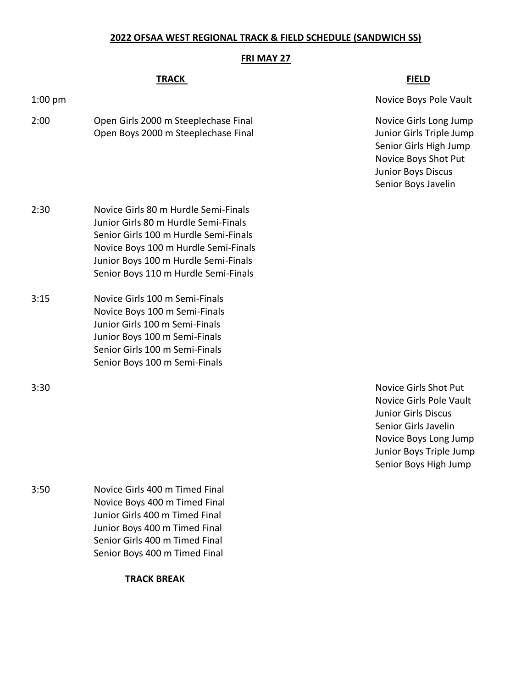# **2022 OFSAA WEST REGIONAL TRACK & FIELD SCHEDULE (SANDWICH SS)**

### **FRI MAY 27**

## **TRACK FIELD**

2:00 Open Girls 2000 m Steeplechase Final Novice Girls Long Jump Open Boys 2000 m Steeplechase Final Junior Girls Triple Jump

1:00 pm

Senior Girls High Jump Novice Boys Shot Put Junior Boys Discus Senior Boys Javelin

- 2:30 Novice Girls 80 m Hurdle Semi-Finals Junior Girls 80 m Hurdle Semi-Finals Senior Girls 100 m Hurdle Semi-Finals Novice Boys 100 m Hurdle Semi-Finals Junior Boys 100 m Hurdle Semi-Finals Senior Boys 110 m Hurdle Semi-Finals 3:15 Novice Girls 100 m Semi-Finals
- Novice Boys 100 m Semi-Finals Junior Girls 100 m Semi-Finals Junior Boys 100 m Semi-Finals Senior Girls 100 m Semi-Finals Senior Boys 100 m Semi-Finals

3:50 Novice Girls 400 m Timed Final Novice Boys 400 m Timed Final Junior Girls 400 m Timed Final Junior Boys 400 m Timed Final Senior Girls 400 m Timed Final Senior Boys 400 m Timed Final

**TRACK BREAK**

3:30 Novice Girls Shot Put Novice Girls Pole Vault Junior Girls Discus Senior Girls Javelin Novice Boys Long Jump Junior Boys Triple Jump Senior Boys High Jump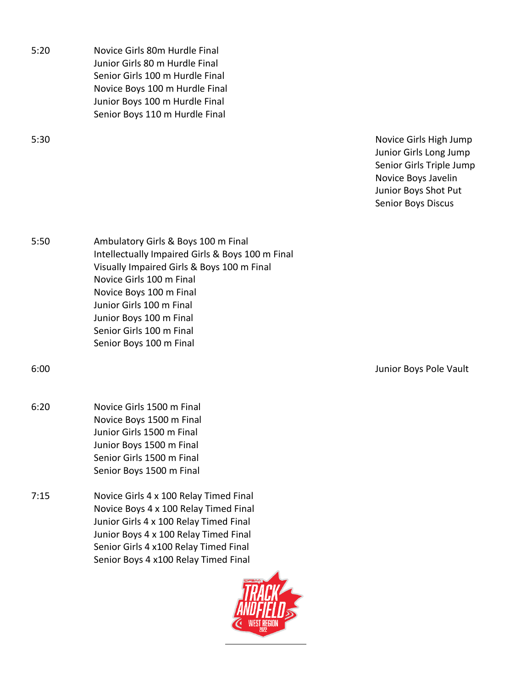5:20 Novice Girls 80m Hurdle Final Junior Girls 80 m Hurdle Final Senior Girls 100 m Hurdle Final Novice Boys 100 m Hurdle Final Junior Boys 100 m Hurdle Final Senior Boys 110 m Hurdle Final

5:30 Novice Girls High Jump Junior Girls Long Jump Senior Girls Triple Jump Novice Boys Javelin Junior Boys Shot Put Senior Boys Discus

5:50 Ambulatory Girls & Boys 100 m Final Intellectually Impaired Girls & Boys 100 m Final Visually Impaired Girls & Boys 100 m Final Novice Girls 100 m Final Novice Boys 100 m Final Junior Girls 100 m Final Junior Boys 100 m Final Senior Girls 100 m Final Senior Boys 100 m Final

6:00 Junior Boys Pole Vault

- 6:20 Novice Girls 1500 m Final Novice Boys 1500 m Final Junior Girls 1500 m Final Junior Boys 1500 m Final Senior Girls 1500 m Final Senior Boys 1500 m Final
- 7:15 Novice Girls 4 x 100 Relay Timed Final Novice Boys 4 x 100 Relay Timed Final Junior Girls 4 x 100 Relay Timed Final Junior Boys 4 x 100 Relay Timed Final Senior Girls 4 x100 Relay Timed Final Senior Boys 4 x100 Relay Timed Final

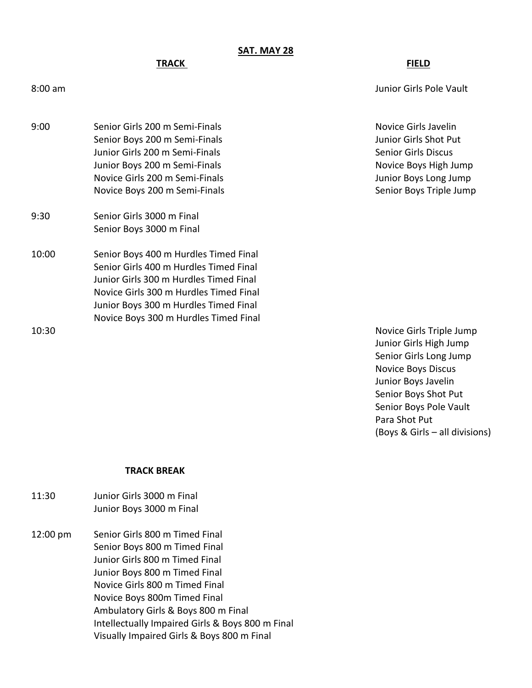## **SAT. MAY 28**

9:00 Senior Girls 200 m Semi-Finals Senior And The Senior Girls Javelin Senior Boys 200 m Semi-Finals Junior Girls Shot Put Junior Girls 200 m Semi-Finals Senior Girls Discus Junior Boys 200 m Semi-Finals Novice Boys High Jump

9:30 Senior Girls 3000 m Final Senior Boys 3000 m Final

10:00 Senior Boys 400 m Hurdles Timed Final Senior Girls 400 m Hurdles Timed Final Junior Girls 300 m Hurdles Timed Final Novice Girls 300 m Hurdles Timed Final Junior Boys 300 m Hurdles Timed Final Novice Boys 300 m Hurdles Timed Final

**TRACK FIELD**

8:00 am Junior Girls Pole Vault

Novice Girls 200 m Semi-Finals **State Act and State Act and State Junior Boys Long Jump** Novice Boys 200 m Semi-Finals Senior Boys Triple Jump

10:30 Novice Girls Triple Jump Junior Girls High Jump Senior Girls Long Jump Novice Boys Discus Junior Boys Javelin Senior Boys Shot Put Senior Boys Pole Vault Para Shot Put (Boys & Girls – all divisions)

#### **TRACK BREAK**

- 11:30 Junior Girls 3000 m Final Junior Boys 3000 m Final
- 12:00 pm Senior Girls 800 m Timed Final Senior Boys 800 m Timed Final Junior Girls 800 m Timed Final Junior Boys 800 m Timed Final Novice Girls 800 m Timed Final Novice Boys 800m Timed Final Ambulatory Girls & Boys 800 m Final Intellectually Impaired Girls & Boys 800 m Final Visually Impaired Girls & Boys 800 m Final